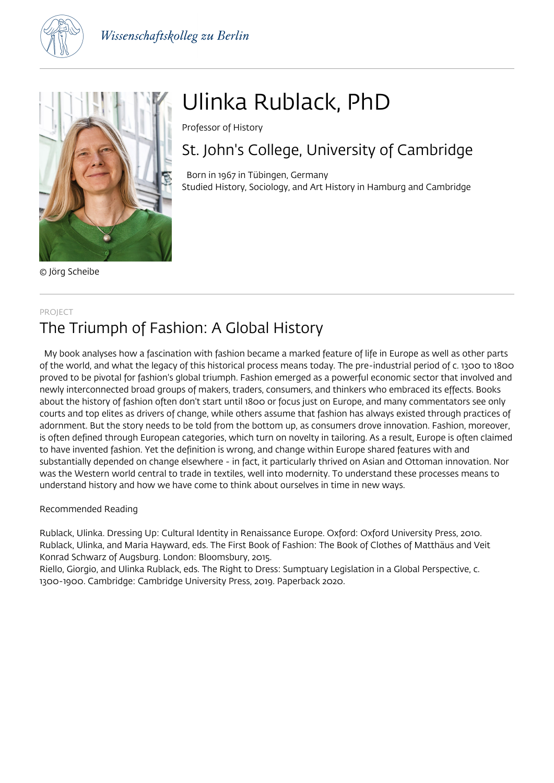



© Jörg Scheibe

# Ulinka Rublack, PhD

Professor of History

## St. John's College, University of Cambridge

 Born in 1967 in Tübingen, Germany Studied History, Sociology, and Art History in Hamburg and Cambridge

#### PROJECT

## The Triumph of Fashion: A Global History

 My book analyses how a fascination with fashion became a marked feature of life in Europe as well as other parts of the world, and what the legacy of this historical process means today. The pre-industrial period of c. 1300 to 1800 proved to be pivotal for fashion's global triumph. Fashion emerged as a powerful economic sector that involved and newly interconnected broad groups of makers, traders, consumers, and thinkers who embraced its effects. Books about the history of fashion often don't start until 1800 or focus just on Europe, and many commentators see only courts and top elites as drivers of change, while others assume that fashion has always existed through practices of adornment. But the story needs to be told from the bottom up, as consumers drove innovation. Fashion, moreover, is often defined through European categories, which turn on novelty in tailoring. As a result, Europe is often claimed to have invented fashion. Yet the definition is wrong, and change within Europe shared features with and substantially depended on change elsewhere - in fact, it particularly thrived on Asian and Ottoman innovation. Nor was the Western world central to trade in textiles, well into modernity. To understand these processes means to understand history and how we have come to think about ourselves in time in new ways.

#### Recommended Reading

Rublack, Ulinka. Dressing Up: Cultural Identity in Renaissance Europe. Oxford: Oxford University Press, 2010. Rublack, Ulinka, and Maria Hayward, eds. The First Book of Fashion: The Book of Clothes of Matthäus and Veit Konrad Schwarz of Augsburg. London: Bloomsbury, 2015.

Riello, Giorgio, and Ulinka Rublack, eds. The Right to Dress: Sumptuary Legislation in a Global Perspective, c. 1300-1900. Cambridge: Cambridge University Press, 2019. Paperback 2020.